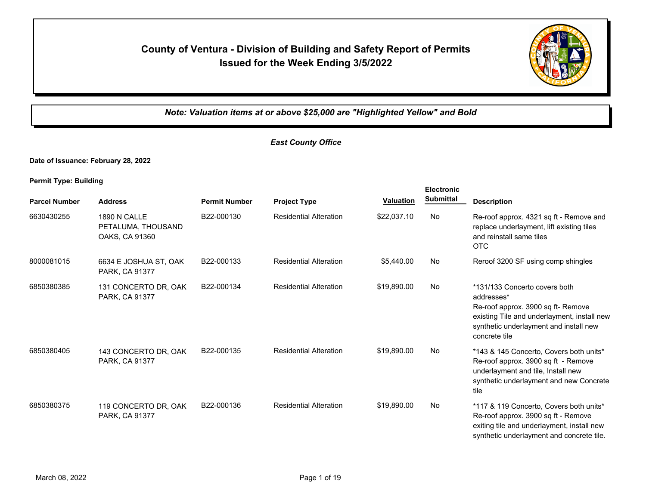# **County of Ventura - Division of Building and Safety Report of Permits Issued for the Week Ending 3/5/2022**



*Note: Valuation items at or above \$25,000 are "Highlighted Yellow" and Bold*

## *East County Office*

**Date of Issuance: February 28, 2022**

**Permit Type: Building**

|                      |                                                             |                      |                               |                  | <b>Electronic</b> |                                                                                                                                                                                             |
|----------------------|-------------------------------------------------------------|----------------------|-------------------------------|------------------|-------------------|---------------------------------------------------------------------------------------------------------------------------------------------------------------------------------------------|
| <b>Parcel Number</b> | <b>Address</b>                                              | <b>Permit Number</b> | <b>Project Type</b>           | <b>Valuation</b> | <b>Submittal</b>  | <b>Description</b>                                                                                                                                                                          |
| 6630430255           | <b>1890 N CALLE</b><br>PETALUMA, THOUSAND<br>OAKS, CA 91360 | B22-000130           | <b>Residential Alteration</b> | \$22,037.10      | No                | Re-roof approx. 4321 sq ft - Remove and<br>replace underlayment, lift existing tiles<br>and reinstall same tiles<br><b>OTC</b>                                                              |
| 8000081015           | 6634 E JOSHUA ST, OAK<br>PARK, CA 91377                     | B22-000133           | <b>Residential Alteration</b> | \$5,440.00       | No                | Reroof 3200 SF using comp shingles                                                                                                                                                          |
| 6850380385           | 131 CONCERTO DR, OAK<br>PARK, CA 91377                      | B22-000134           | <b>Residential Alteration</b> | \$19,890.00      | No                | *131/133 Concerto covers both<br>addresses*<br>Re-roof approx. 3900 sq ft- Remove<br>existing Tile and underlayment, install new<br>synthetic underlayment and install new<br>concrete tile |
| 6850380405           | 143 CONCERTO DR. OAK<br>PARK, CA 91377                      | B22-000135           | <b>Residential Alteration</b> | \$19.890.00      | No                | *143 & 145 Concerto. Covers both units*<br>Re-roof approx. 3900 sq ft - Remove<br>underlayment and tile, Install new<br>synthetic underlayment and new Concrete<br>tile                     |
| 6850380375           | 119 CONCERTO DR, OAK<br>PARK, CA 91377                      | B22-000136           | <b>Residential Alteration</b> | \$19,890.00      | No                | *117 & 119 Concerto, Covers both units*<br>Re-roof approx. 3900 sq ft - Remove<br>exiting tile and underlayment, install new<br>synthetic underlayment and concrete tile.                   |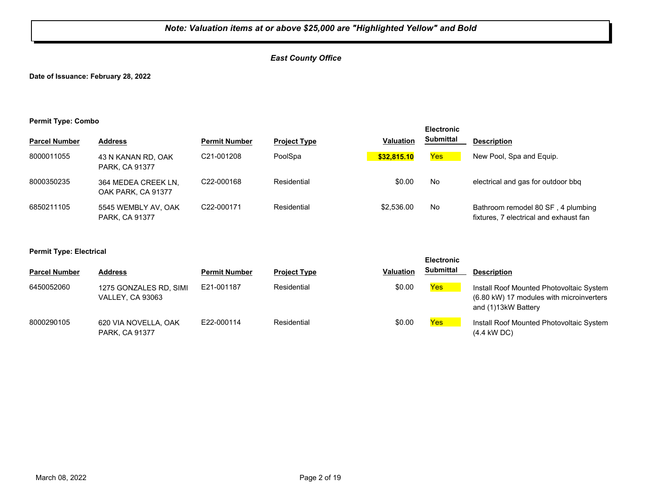## *East County Office*

**Date of Issuance: February 28, 2022**

#### **Permit Type: Combo**

|                      |                                              |                      |                     |                  | <b>Electronic</b> |                                                                              |
|----------------------|----------------------------------------------|----------------------|---------------------|------------------|-------------------|------------------------------------------------------------------------------|
| <b>Parcel Number</b> | <b>Address</b>                               | <b>Permit Number</b> | <b>Project Type</b> | <b>Valuation</b> | <b>Submittal</b>  | <b>Description</b>                                                           |
| 8000011055           | 43 N KANAN RD, OAK<br>PARK, CA 91377         | C21-001208           | PoolSpa             | \$32,815.10      | Yes               | New Pool, Spa and Equip.                                                     |
| 8000350235           | 364 MEDEA CREEK LN,<br>OAK PARK, CA 91377    | C22-000168           | Residential         | \$0.00           | No                | electrical and gas for outdoor bbg                                           |
| 6850211105           | 5545 WEMBLY AV, OAK<br><b>PARK, CA 91377</b> | C22-000171           | Residential         | \$2,536.00       | No                | Bathroom remodel 80 SF, 4 plumbing<br>fixtures, 7 electrical and exhaust fan |

#### **Permit Type: Electrical**

|                      |                                                   |                      |                     |                  | <b>Electronic</b> |                                                                                                             |
|----------------------|---------------------------------------------------|----------------------|---------------------|------------------|-------------------|-------------------------------------------------------------------------------------------------------------|
| <b>Parcel Number</b> | <b>Address</b>                                    | <b>Permit Number</b> | <b>Project Type</b> | <b>Valuation</b> | <b>Submittal</b>  | <b>Description</b>                                                                                          |
| 6450052060           | 1275 GONZALES RD, SIMI<br><b>VALLEY, CA 93063</b> | E21-001187           | Residential         | \$0.00           | <b>Yes</b>        | Install Roof Mounted Photovoltaic System<br>(6.80 kW) 17 modules with microinverters<br>and (1)13kW Battery |
| 8000290105           | 620 VIA NOVELLA, OAK<br>PARK, CA 91377            | E22-000114           | Residential         | \$0.00           | Yes               | Install Roof Mounted Photovoltaic System<br>$(4.4$ kW DC)                                                   |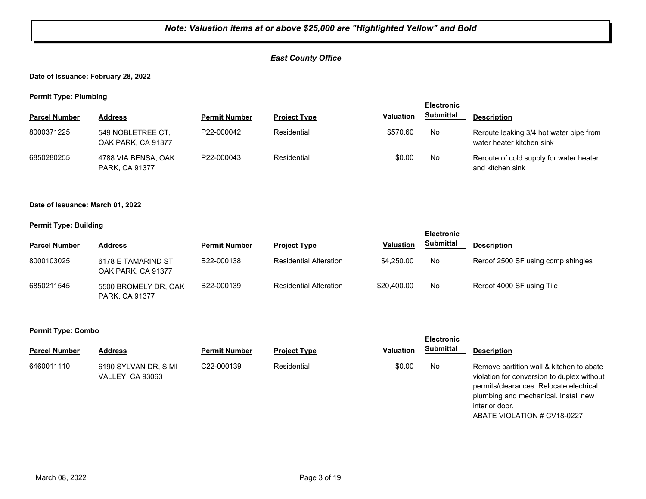## *East County Office*

#### **Date of Issuance: February 28, 2022**

**Permit Type: Plumbing**

| - -                  |                                         |                      |                     |                  | <b>Electronic</b> |                                                                      |
|----------------------|-----------------------------------------|----------------------|---------------------|------------------|-------------------|----------------------------------------------------------------------|
| <b>Parcel Number</b> | <b>Address</b>                          | <b>Permit Number</b> | <b>Project Type</b> | <b>Valuation</b> | <b>Submittal</b>  | <b>Description</b>                                                   |
| 8000371225           | 549 NOBLETREE CT,<br>OAK PARK, CA 91377 | P22-000042           | Residential         | \$570.60         | No                | Reroute leaking 3/4 hot water pipe from<br>water heater kitchen sink |
| 6850280255           | 4788 VIA BENSA, OAK<br>PARK, CA 91377   | P22-000043           | Residential         | \$0.00           | No                | Reroute of cold supply for water heater<br>and kitchen sink          |

#### **Date of Issuance: March 01, 2022**

#### **Permit Type: Building**

|                      |                                               |                      |                               |                  | <b>Electronic</b> |                                    |
|----------------------|-----------------------------------------------|----------------------|-------------------------------|------------------|-------------------|------------------------------------|
| <b>Parcel Number</b> | <b>Address</b>                                | <b>Permit Number</b> | <b>Project Type</b>           | <b>Valuation</b> | <b>Submittal</b>  | <b>Description</b>                 |
| 8000103025           | 6178 E TAMARIND ST.<br>OAK PARK, CA 91377     | B22-000138           | <b>Residential Alteration</b> | \$4,250,00       | No                | Reroof 2500 SF using comp shingles |
| 6850211545           | 5500 BROMELY DR, OAK<br><b>PARK, CA 91377</b> | B22-000139           | <b>Residential Alteration</b> | \$20,400.00      | No                | Reroof 4000 SF using Tile          |

#### **Permit Type: Combo**

| <b>Parcel Number</b> | <b>Address</b>                                  | <b>Permit Number</b>    | <b>Project Type</b> | <b>Valuation</b> | <b>Submittal</b> | <b>Description</b>                                                                                                                                                                           |
|----------------------|-------------------------------------------------|-------------------------|---------------------|------------------|------------------|----------------------------------------------------------------------------------------------------------------------------------------------------------------------------------------------|
| 6460011110           | 6190 SYLVAN DR, SIMI<br><b>VALLEY, CA 93063</b> | C <sub>22</sub> -000139 | Residential         | \$0.00           | No               | Remove partition wall & kitchen to abate<br>violation for conversion to duplex without<br>permits/clearances. Relocate electrical,<br>plumbing and mechanical. Install new<br>interior door. |

ABATE VIOLATION # CV18-0227

**Electronic**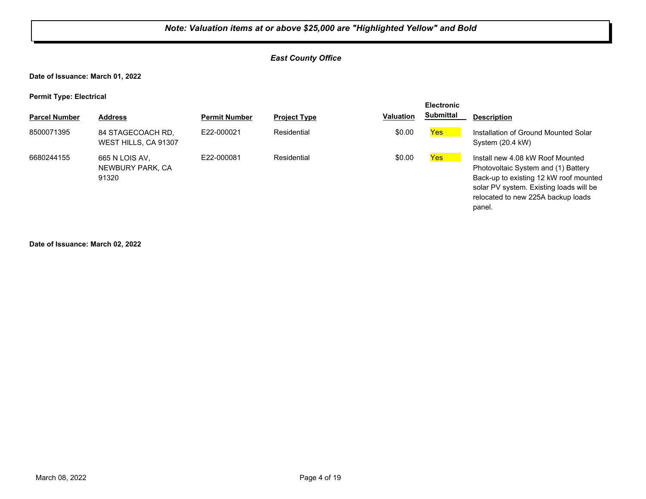## *East County Office*

**Date of Issuance: March 01, 2022**

**Permit Type: Electrical**

|                      |                                             |                      |                     |                  | <b>Electronic</b> |                                                                                                                                                                                                              |
|----------------------|---------------------------------------------|----------------------|---------------------|------------------|-------------------|--------------------------------------------------------------------------------------------------------------------------------------------------------------------------------------------------------------|
| <b>Parcel Number</b> | <b>Address</b>                              | <b>Permit Number</b> | <b>Project Type</b> | <b>Valuation</b> | <b>Submittal</b>  | <b>Description</b>                                                                                                                                                                                           |
| 8500071395           | 84 STAGECOACH RD,<br>WEST HILLS, CA 91307   | E22-000021           | Residential         | \$0.00           | Yes               | Installation of Ground Mounted Solar<br>System (20.4 kW)                                                                                                                                                     |
| 6680244155           | 665 N LOIS AV.<br>NEWBURY PARK, CA<br>91320 | F22-000081           | Residential         | \$0.00           | Yes               | Install new 4.08 kW Roof Mounted<br>Photovoltaic System and (1) Battery<br>Back-up to existing 12 kW roof mounted<br>solar PV system. Existing loads will be<br>relocated to new 225A backup loads<br>panel. |

**Date of Issuance: March 02, 2022**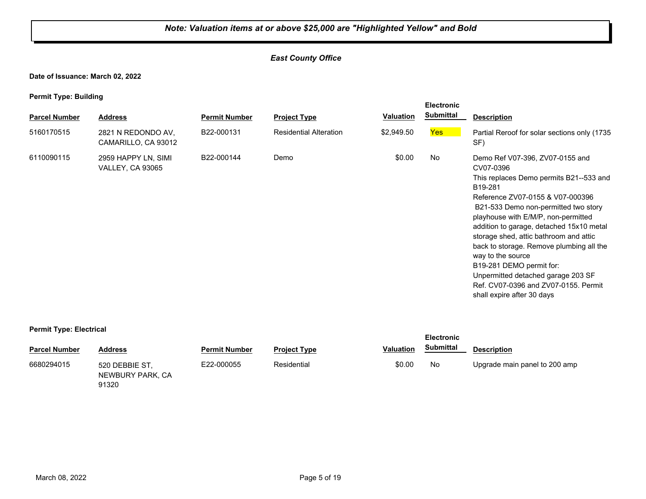## *East County Office*

**Date of Issuance: March 02, 2022**

**Permit Type: Building**

|                      |                                                |                      |                               |                  | <b>Electronic</b> |                                                                                                                                                                                                                                                                                                                                                                                                                                                                                                                      |
|----------------------|------------------------------------------------|----------------------|-------------------------------|------------------|-------------------|----------------------------------------------------------------------------------------------------------------------------------------------------------------------------------------------------------------------------------------------------------------------------------------------------------------------------------------------------------------------------------------------------------------------------------------------------------------------------------------------------------------------|
| <b>Parcel Number</b> | <b>Address</b>                                 | <b>Permit Number</b> | <b>Project Type</b>           | <b>Valuation</b> | <b>Submittal</b>  | <b>Description</b>                                                                                                                                                                                                                                                                                                                                                                                                                                                                                                   |
| 5160170515           | 2821 N REDONDO AV.<br>CAMARILLO, CA 93012      | B22-000131           | <b>Residential Alteration</b> | \$2,949.50       | Yes               | Partial Reroof for solar sections only (1735)<br>SF)                                                                                                                                                                                                                                                                                                                                                                                                                                                                 |
| 6110090115           | 2959 HAPPY LN, SIMI<br><b>VALLEY, CA 93065</b> | B22-000144           | Demo                          | \$0.00           | No                | Demo Ref V07-396, ZV07-0155 and<br>CV07-0396<br>This replaces Demo permits B21--533 and<br>B19-281<br>Reference ZV07-0155 & V07-000396<br>B21-533 Demo non-permitted two story<br>playhouse with E/M/P, non-permitted<br>addition to garage, detached 15x10 metal<br>storage shed, attic bathroom and attic<br>back to storage. Remove plumbing all the<br>way to the source<br>B19-281 DEMO permit for:<br>Unpermitted detached garage 203 SF<br>Ref. CV07-0396 and ZV07-0155. Permit<br>shall expire after 30 days |

#### **Permit Type: Electrical**

| ___                  |                                             |                      |                     |                  | <b>Electronic</b> |                               |
|----------------------|---------------------------------------------|----------------------|---------------------|------------------|-------------------|-------------------------------|
| <b>Parcel Number</b> | <b>Address</b>                              | <b>Permit Number</b> | <b>Project Type</b> | <b>Valuation</b> | <b>Submittal</b>  | <b>Description</b>            |
| 6680294015           | 520 DEBBIE ST.<br>NEWBURY PARK, CA<br>91320 | E22-000055           | Residential         | \$0.00           | No                | Upgrade main panel to 200 amp |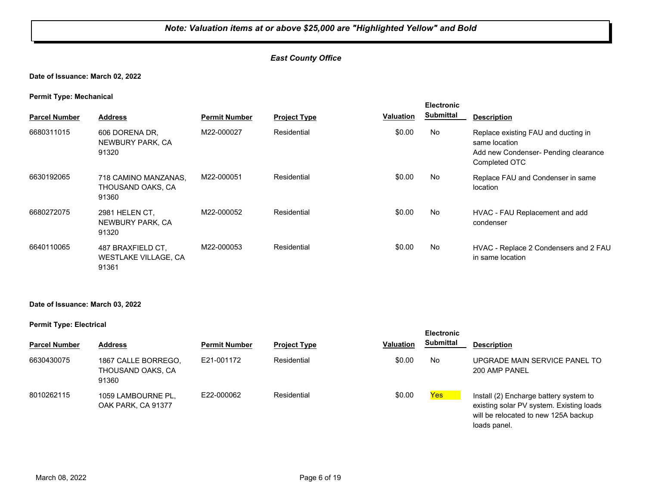## *East County Office*

## **Date of Issuance: March 02, 2022**

#### **Permit Type: Mechanical**

| <b>Parcel Number</b> | <b>Address</b>                                            | <b>Permit Number</b> | <b>Project Type</b> | Valuation | <b>Electronic</b><br><b>Submittal</b> | <b>Description</b>                                                                                            |
|----------------------|-----------------------------------------------------------|----------------------|---------------------|-----------|---------------------------------------|---------------------------------------------------------------------------------------------------------------|
| 6680311015           | 606 DORENA DR,<br>NEWBURY PARK, CA<br>91320               | M22-000027           | Residential         | \$0.00    | No                                    | Replace existing FAU and ducting in<br>same location<br>Add new Condenser- Pending clearance<br>Completed OTC |
| 6630192065           | 718 CAMINO MANZANAS,<br>THOUSAND OAKS, CA<br>91360        | M22-000051           | Residential         | \$0.00    | No                                    | Replace FAU and Condenser in same<br>location                                                                 |
| 6680272075           | 2981 HELEN CT.<br>NEWBURY PARK, CA<br>91320               | M22-000052           | Residential         | \$0.00    | No                                    | HVAC - FAU Replacement and add<br>condenser                                                                   |
| 6640110065           | 487 BRAXFIELD CT.<br><b>WESTLAKE VILLAGE, CA</b><br>91361 | M22-000053           | Residential         | \$0.00    | No                                    | HVAC - Replace 2 Condensers and 2 FAU<br>in same location                                                     |

#### **Date of Issuance: March 03, 2022**

#### **Permit Type: Electrical**

| <b>Parcel Number</b> | <b>Address</b>                                    | <b>Permit Number</b> | <b>Project Type</b> | <b>Valuation</b> | Submittal | <b>Description</b>                                                                                                         |
|----------------------|---------------------------------------------------|----------------------|---------------------|------------------|-----------|----------------------------------------------------------------------------------------------------------------------------|
| 6630430075           | 1867 CALLE BORREGO.<br>THOUSAND OAKS. CA<br>91360 | E21-001172           | Residential         | \$0.00           | No        | UPGRADE MAIN SERVICE PANEL TO<br>200 AMP PANEL                                                                             |
| 8010262115           | 1059 LAMBOURNE PL,<br>OAK PARK, CA 91377          | E22-000062           | Residential         | \$0.00           | Yes       | Install (2) Encharge battery system to<br>existing solar PV system. Existing loads<br>will be relocated to new 125A backup |

**Electronic** 

loads panel.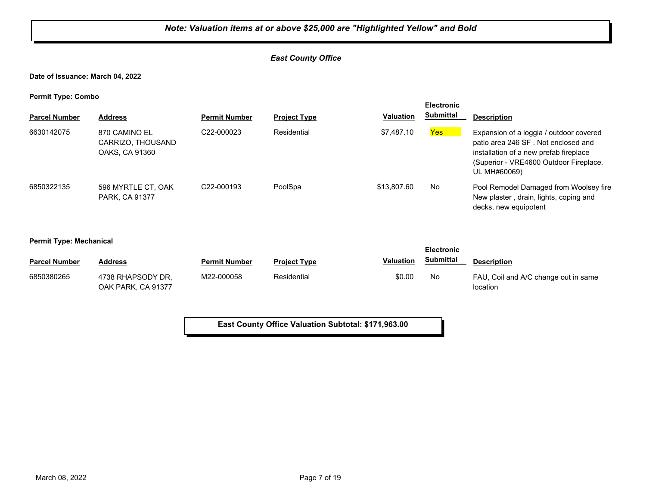## *East County Office*

#### **Date of Issuance: March 04, 2022**

**Permit Type: Combo**

| . .                  |                                                      |                         |                     |                  | <b>Electronic</b> |                                                                                                                                                                                    |
|----------------------|------------------------------------------------------|-------------------------|---------------------|------------------|-------------------|------------------------------------------------------------------------------------------------------------------------------------------------------------------------------------|
| <b>Parcel Number</b> | <b>Address</b>                                       | <b>Permit Number</b>    | <b>Project Type</b> | <b>Valuation</b> | <b>Submittal</b>  | <b>Description</b>                                                                                                                                                                 |
| 6630142075           | 870 CAMINO EL<br>CARRIZO, THOUSAND<br>OAKS, CA 91360 | C <sub>22</sub> -000023 | Residential         | \$7,487.10       | <b>Yes</b>        | Expansion of a loggia / outdoor covered<br>patio area 246 SF. Not enclosed and<br>installation of a new prefab fireplace<br>(Superior - VRE4600 Outdoor Fireplace.<br>UL MH#60069) |
| 6850322135           | 596 MYRTLE CT, OAK<br>PARK, CA 91377                 | C <sub>22</sub> -000193 | PoolSpa             | \$13,807.60      | No                | Pool Remodel Damaged from Woolsey fire<br>New plaster, drain, lights, coping and<br>decks, new equipotent                                                                          |

**Permit Type: Mechanical**

| <b>Electronic</b>    |                                         |                      |                     |           |           |                                                  |
|----------------------|-----------------------------------------|----------------------|---------------------|-----------|-----------|--------------------------------------------------|
| <b>Parcel Number</b> | Address                                 | <b>Permit Number</b> | <b>Project Type</b> | Valuation | Submittal | <b>Description</b>                               |
| 6850380265           | 4738 RHAPSODY DR.<br>OAK PARK, CA 91377 | M22-000058           | Residential         | \$0.00    | No        | FAU, Coil and A/C change out in same<br>location |

**East County Office Valuation Subtotal: \$171,963.00**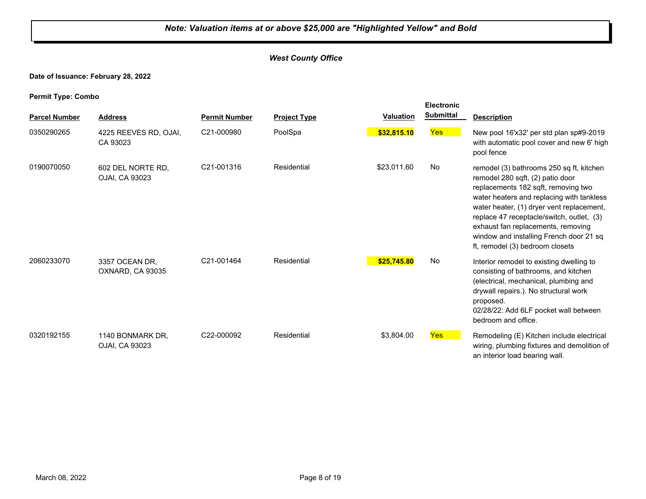## *West County Office*

## **Date of Issuance: February 28, 2022**

**Permit Type: Combo**

|                      |                                     |                      |                     |                  | <b>Electronic</b> |                                                                                                                                                                                                                                                                                                                                                                                |
|----------------------|-------------------------------------|----------------------|---------------------|------------------|-------------------|--------------------------------------------------------------------------------------------------------------------------------------------------------------------------------------------------------------------------------------------------------------------------------------------------------------------------------------------------------------------------------|
| <b>Parcel Number</b> | <b>Address</b>                      | <b>Permit Number</b> | <b>Project Type</b> | <b>Valuation</b> | <b>Submittal</b>  | <b>Description</b>                                                                                                                                                                                                                                                                                                                                                             |
| 0350290265           | 4225 REEVES RD, OJAI,<br>CA 93023   | C21-000980           | PoolSpa             | \$32,815.10      | Yes               | New pool 16'x32' per std plan sp#9-2019<br>with automatic pool cover and new 6' high<br>pool fence                                                                                                                                                                                                                                                                             |
| 0190070050           | 602 DEL NORTE RD.<br>OJAI, CA 93023 | C21-001316           | Residential         | \$23,011.60      | No                | remodel (3) bathrooms 250 sq ft, kitchen<br>remodel 280 sqft, (2) patio door<br>replacements 182 sqft, removing two<br>water heaters and replacing with tankless<br>water heater, (1) dryer vent replacement,<br>replace 47 receptacle/switch, outlet, (3)<br>exhaust fan replacements, removing<br>window and installing French door 21 sq<br>ft, remodel (3) bedroom closets |
| 2060233070           | 3357 OCEAN DR,<br>OXNARD, CA 93035  | C21-001464           | Residential         | \$25,745.80      | No                | Interior remodel to existing dwelling to<br>consisting of bathrooms, and kitchen<br>(electrical, mechanical, plumbing and<br>drywall repairs.). No structural work<br>proposed.<br>02/28/22: Add 6LF pocket wall between<br>bedroom and office.                                                                                                                                |
| 0320192155           | 1140 BONMARK DR.<br>OJAI, CA 93023  | C22-000092           | Residential         | \$3,804.00       | <b>Yes</b>        | Remodeling (E) Kitchen include electrical<br>wiring, plumbing fixtures and demolition of<br>an interior load bearing wall.                                                                                                                                                                                                                                                     |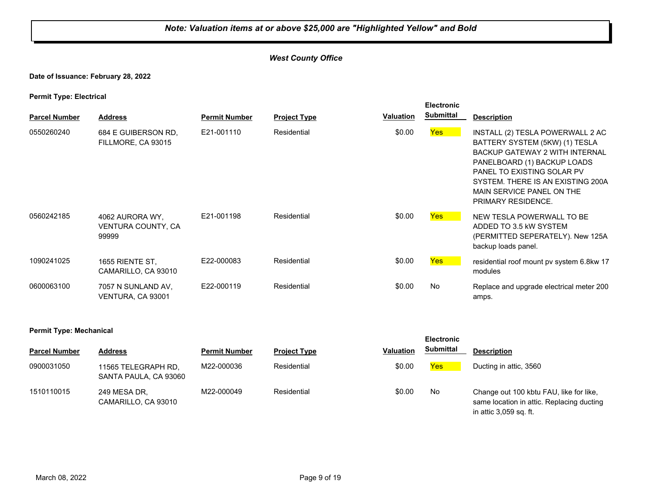## *West County Office*

#### **Date of Issuance: February 28, 2022**

**Permit Type: Electrical**

| . .                  |                                                |                      |                     |                  | <b>Electronic</b> |                                                                                                                                                                                                                                                           |
|----------------------|------------------------------------------------|----------------------|---------------------|------------------|-------------------|-----------------------------------------------------------------------------------------------------------------------------------------------------------------------------------------------------------------------------------------------------------|
| <b>Parcel Number</b> | <b>Address</b>                                 | <b>Permit Number</b> | <b>Project Type</b> | <b>Valuation</b> | <b>Submittal</b>  | <b>Description</b>                                                                                                                                                                                                                                        |
| 0550260240           | 684 E GUIBERSON RD.<br>FILLMORE, CA 93015      | E21-001110           | Residential         | \$0.00           | Yes               | INSTALL (2) TESLA POWERWALL 2 AC<br>BATTERY SYSTEM (5KW) (1) TESLA<br>BACKUP GATEWAY 2 WITH INTERNAL<br>PANELBOARD (1) BACKUP LOADS<br>PANEL TO EXISTING SOLAR PV<br>SYSTEM. THERE IS AN EXISTING 200A<br>MAIN SERVICE PANEL ON THE<br>PRIMARY RESIDENCE. |
| 0560242185           | 4062 AURORA WY.<br>VENTURA COUNTY, CA<br>99999 | E21-001198           | Residential         | \$0.00           | Yes               | NEW TESLA POWERWALL TO BE<br>ADDED TO 3.5 KW SYSTEM<br>(PERMITTED SEPERATELY). New 125A<br>backup loads panel.                                                                                                                                            |
| 1090241025           | 1655 RIENTE ST.<br>CAMARILLO, CA 93010         | E22-000083           | Residential         | \$0.00           | <b>Yes</b>        | residential roof mount pv system 6.8kw 17<br>modules                                                                                                                                                                                                      |
| 0600063100           | 7057 N SUNLAND AV,<br>VENTURA, CA 93001        | E22-000119           | Residential         | \$0.00           | No                | Replace and upgrade electrical meter 200<br>amps.                                                                                                                                                                                                         |

#### **Permit Type: Mechanical**

| <b>Parcel Number</b> | <b>Address</b>                               | <b>Permit Number</b> | <b>Project Type</b> | <b>Valuation</b> | <b>Submittal</b> | <b>Description</b>                                                                                             |
|----------------------|----------------------------------------------|----------------------|---------------------|------------------|------------------|----------------------------------------------------------------------------------------------------------------|
| 0900031050           | 11565 TELEGRAPH RD,<br>SANTA PAULA, CA 93060 | M22-000036           | Residential         | \$0.00           | Yes              | Ducting in attic, 3560                                                                                         |
| 1510110015           | 249 MESA DR.<br>CAMARILLO, CA 93010          | M22-000049           | Residential         | \$0.00           | No               | Change out 100 kbtu FAU, like for like,<br>same location in attic. Replacing ducting<br>in attic 3,059 sq. ft. |

**Electronic**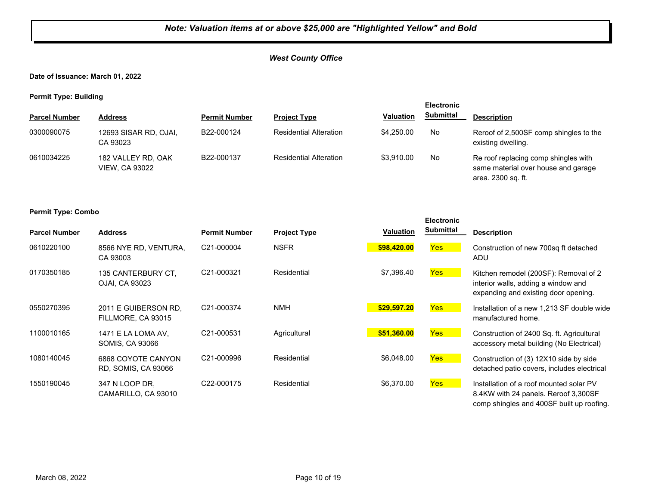## *West County Office*

**Date of Issuance: March 01, 2022**

**Permit Type: Building**

| - -                  |                                             |                      |                               |                  | <b>Electronic</b> |                                                                                                   |
|----------------------|---------------------------------------------|----------------------|-------------------------------|------------------|-------------------|---------------------------------------------------------------------------------------------------|
| <b>Parcel Number</b> | <b>Address</b>                              | <b>Permit Number</b> | <b>Project Type</b>           | <b>Valuation</b> | <b>Submittal</b>  | <b>Description</b>                                                                                |
| 0300090075           | 12693 SISAR RD, OJAI,<br>CA 93023           | B22-000124           | <b>Residential Alteration</b> | \$4,250,00       | No.               | Reroof of 2,500SF comp shingles to the<br>existing dwelling.                                      |
| 0610034225           | 182 VALLEY RD, OAK<br><b>VIEW, CA 93022</b> | B22-000137           | <b>Residential Alteration</b> | \$3.910.00       | No.               | Re roof replacing comp shingles with<br>same material over house and garage<br>area. 2300 sq. ft. |

#### **Permit Type: Combo**

| <b>Parcel Number</b> | <b>Address</b>                               | <b>Permit Number</b> | <b>Project Type</b> | Valuation   | <b>Electronic</b><br><b>Submittal</b> | <b>Description</b>                                                                                                           |
|----------------------|----------------------------------------------|----------------------|---------------------|-------------|---------------------------------------|------------------------------------------------------------------------------------------------------------------------------|
| 0610220100           | 8566 NYE RD, VENTURA,<br>CA 93003            | C21-000004           | <b>NSFR</b>         | \$98,420.00 | <b>Yes</b>                            | Construction of new 700sq ft detached<br>ADU                                                                                 |
| 0170350185           | 135 CANTERBURY CT.<br>OJAI, CA 93023         | C21-000321           | Residential         | \$7,396.40  | <b>Yes</b>                            | Kitchen remodel (200SF): Removal of 2<br>interior walls, adding a window and<br>expanding and existing door opening.         |
| 0550270395           | 2011 E GUIBERSON RD.<br>FILLMORE, CA 93015   | C21-000374           | <b>NMH</b>          | \$29,597.20 | <b>Yes</b>                            | Installation of a new 1.213 SF double wide<br>manufactured home.                                                             |
| 1100010165           | 1471 E LA LOMA AV,<br><b>SOMIS, CA 93066</b> | C21-000531           | Agricultural        | \$51,360.00 | <b>Yes</b>                            | Construction of 2400 Sq. ft. Agricultural<br>accessory metal building (No Electrical)                                        |
| 1080140045           | 6868 COYOTE CANYON<br>RD, SOMIS, CA 93066    | C21-000996           | Residential         | \$6,048.00  | <b>Yes</b>                            | Construction of (3) 12X10 side by side<br>detached patio covers, includes electrical                                         |
| 1550190045           | 347 N LOOP DR,<br>CAMARILLO, CA 93010        | C22-000175           | Residential         | \$6,370.00  | <b>Yes</b>                            | Installation of a roof mounted solar PV<br>8.4KW with 24 panels. Reroof 3,300SF<br>comp shingles and 400SF built up roofing. |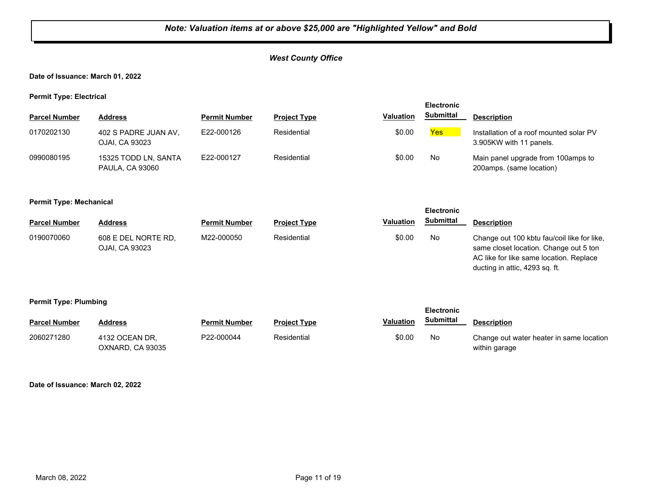## *West County Office*

#### **Date of Issuance: March 01, 2022**

**Permit Type: Electrical**

|                      |                                                |                      |                     |                  | <b>Electronic</b> |                                                                    |
|----------------------|------------------------------------------------|----------------------|---------------------|------------------|-------------------|--------------------------------------------------------------------|
| <b>Parcel Number</b> | <b>Address</b>                                 | <b>Permit Number</b> | <b>Project Type</b> | <b>Valuation</b> | <b>Submittal</b>  | <b>Description</b>                                                 |
| 0170202130           | 402 S PADRE JUAN AV,<br>OJAI, CA 93023         | E22-000126           | Residential         | \$0.00           | Yes               | Installation of a roof mounted solar PV<br>3.905KW with 11 panels. |
| 0990080195           | 15325 TODD LN, SANTA<br><b>PAULA, CA 93060</b> | E22-000127           | Residential         | \$0.00           | No.               | Main panel upgrade from 100amps to<br>200amps. (same location)     |

#### **Permit Type: Mechanical**

|                      |                                       |                      |                     |                  | <b>Electronic</b> |                                                                                                                                                                    |
|----------------------|---------------------------------------|----------------------|---------------------|------------------|-------------------|--------------------------------------------------------------------------------------------------------------------------------------------------------------------|
| <b>Parcel Number</b> | Address                               | <b>Permit Number</b> | <b>Project Type</b> | <b>Valuation</b> | Submittal         | <b>Description</b>                                                                                                                                                 |
| 0190070060           | 608 E DEL NORTE RD.<br>OJAI, CA 93023 | M22-000050           | Residential         | \$0.00           | No                | Change out 100 kbtu fau/coil like for like,<br>same closet location. Change out 5 ton<br>AC like for like same location. Replace<br>ducting in attic, 4293 sq. ft. |

#### **Permit Type: Plumbing**

| <b>Parcel Number</b> | Address                            | <b>Permit Number</b> | <b>Project Type</b> | <b>Valuation</b> | <b>Submittal</b> | <b>Description</b>                                        |
|----------------------|------------------------------------|----------------------|---------------------|------------------|------------------|-----------------------------------------------------------|
| 2060271280           | 4132 OCEAN DR.<br>OXNARD. CA 93035 | P22-000044           | Residential         | \$0.00           | No               | Change out water heater in same location<br>within garage |

**Electronic** 

#### **Date of Issuance: March 02, 2022**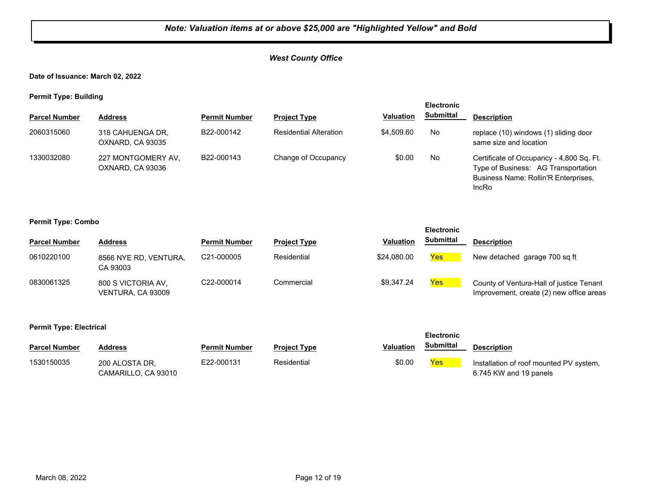**Date of Issuance: March 02, 2022**

**Permit Type: Building**

| <b>Electronic</b>    |                                        |                      |                               |                  |                  |                                                                                                                                  |
|----------------------|----------------------------------------|----------------------|-------------------------------|------------------|------------------|----------------------------------------------------------------------------------------------------------------------------------|
| <b>Parcel Number</b> | <b>Address</b>                         | <b>Permit Number</b> | <b>Project Type</b>           | <b>Valuation</b> | <b>Submittal</b> | <b>Description</b>                                                                                                               |
| 2060315060           | 318 CAHUENGA DR.<br>OXNARD, CA 93035   | B22-000142           | <b>Residential Alteration</b> | \$4,509.60       | No               | replace (10) windows (1) sliding door<br>same size and location                                                                  |
| 1330032080           | 227 MONTGOMERY AV.<br>OXNARD, CA 93036 | B22-000143           | Change of Occupancy           | \$0.00           | No               | Certificate of Occupancy - 4,800 Sq. Ft.<br>Type of Business: AG Transportation<br>Business Name: Rollin'R Enterprises,<br>IncRo |

**Permit Type: Combo**

|                      |                                         |                         |                     |                  | <b>Electronic</b> |                                                                                      |
|----------------------|-----------------------------------------|-------------------------|---------------------|------------------|-------------------|--------------------------------------------------------------------------------------|
| <b>Parcel Number</b> | <b>Address</b>                          | <b>Permit Number</b>    | <b>Project Type</b> | <b>Valuation</b> | <b>Submittal</b>  | <b>Description</b>                                                                   |
| 0610220100           | 8566 NYE RD, VENTURA,<br>CA 93003       | C <sub>21</sub> -000005 | Residential         | \$24,080,00      | <b>Yes</b>        | New detached garage 700 sq ft                                                        |
| 0830061325           | 800 S VICTORIA AV.<br>VENTURA, CA 93009 | C22-000014              | Commercial          | \$9.347.24       | <b>Yes</b>        | County of Ventura-Hall of justice Tenant<br>Improvement, create (2) new office areas |

#### **Permit Type: Electrical**

| <b>Parcel Number</b> | Address             | <b>Permit Number</b> | <b>Project Type</b> | Valuation | Submittal       | <b>Description</b>                      |
|----------------------|---------------------|----------------------|---------------------|-----------|-----------------|-----------------------------------------|
| 1530150035           | 200 ALOSTA DR.      | E22-000131           | Residential         | \$0.00    | Y <sub>es</sub> | Installation of roof mounted PV system, |
|                      | CAMARILLO. CA 93010 |                      |                     |           |                 | 6.745 KW and 19 panels                  |

**Electronic**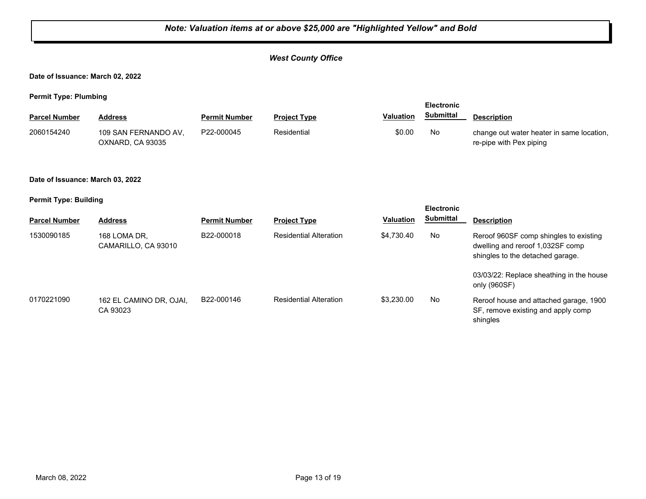## *West County Office*

**Date of Issuance: March 02, 2022**

**Permit Type: Plumbing**

| <b>Parcel Number</b> | Address                                  | <b>Permit Number</b> | <b>Project Type</b> | <b>Valuation</b> | Submittal | <b>Description</b>                                                   |
|----------------------|------------------------------------------|----------------------|---------------------|------------------|-----------|----------------------------------------------------------------------|
| 2060154240           | 109 SAN FERNANDO AV,<br>OXNARD, CA 93035 | P22-000045           | Residential         | \$0.00           | No        | change out water heater in same location,<br>re-pipe with Pex piping |

#### **Date of Issuance: March 03, 2022**

**Permit Type: Building**

| . .                  |                                     |                      |                               |                  | <b>Electronic</b> |                                                                                                                |
|----------------------|-------------------------------------|----------------------|-------------------------------|------------------|-------------------|----------------------------------------------------------------------------------------------------------------|
| <b>Parcel Number</b> | <b>Address</b>                      | <b>Permit Number</b> | <b>Project Type</b>           | <b>Valuation</b> | <b>Submittal</b>  | <b>Description</b>                                                                                             |
| 1530090185           | 168 LOMA DR.<br>CAMARILLO, CA 93010 | B22-000018           | <b>Residential Alteration</b> | \$4,730.40       | No                | Reroof 960SF comp shingles to existing<br>dwelling and reroof 1,032SF comp<br>shingles to the detached garage. |
|                      |                                     |                      |                               |                  |                   | 03/03/22: Replace sheathing in the house<br>only (960SF)                                                       |
| 0170221090           | 162 EL CAMINO DR, OJAI,<br>CA 93023 | B22-000146           | <b>Residential Alteration</b> | \$3,230,00       | No                | Reroof house and attached garage, 1900<br>SF, remove existing and apply comp<br>shingles                       |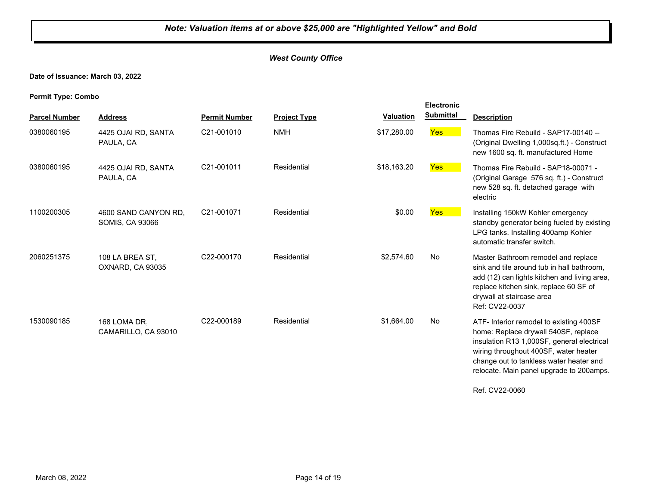## **Date of Issuance: March 03, 2022**

**Permit Type: Combo**

|                      |                                                |                      |                     |                  | <b>Electronic</b> |                                                                                                                                                                                                                                                               |
|----------------------|------------------------------------------------|----------------------|---------------------|------------------|-------------------|---------------------------------------------------------------------------------------------------------------------------------------------------------------------------------------------------------------------------------------------------------------|
| <b>Parcel Number</b> | <b>Address</b>                                 | <b>Permit Number</b> | <b>Project Type</b> | <b>Valuation</b> | <b>Submittal</b>  | <b>Description</b>                                                                                                                                                                                                                                            |
| 0380060195           | 4425 OJAI RD, SANTA<br>PAULA, CA               | C21-001010           | <b>NMH</b>          | \$17,280.00      | Yes               | Thomas Fire Rebuild - SAP17-00140 --<br>(Original Dwelling 1,000sq.ft.) - Construct<br>new 1600 sq. ft. manufactured Home                                                                                                                                     |
| 0380060195           | 4425 OJAI RD, SANTA<br>PAULA, CA               | C21-001011           | Residential         | \$18,163.20      | Yes               | Thomas Fire Rebuild - SAP18-00071 -<br>(Original Garage 576 sq. ft.) - Construct<br>new 528 sq. ft. detached garage with<br>electric                                                                                                                          |
| 1100200305           | 4600 SAND CANYON RD.<br><b>SOMIS, CA 93066</b> | C21-001071           | Residential         | \$0.00           | <b>Yes</b>        | Installing 150kW Kohler emergency<br>standby generator being fueled by existing<br>LPG tanks. Installing 400amp Kohler<br>automatic transfer switch.                                                                                                          |
| 2060251375           | 108 LA BREA ST,<br>OXNARD, CA 93035            | C22-000170           | Residential         | \$2,574.60       | No                | Master Bathroom remodel and replace<br>sink and tile around tub in hall bathroom,<br>add (12) can lights kitchen and living area,<br>replace kitchen sink, replace 60 SF of<br>drywall at staircase area<br>Ref: CV22-0037                                    |
| 1530090185           | 168 LOMA DR,<br>CAMARILLO, CA 93010            | C22-000189           | Residential         | \$1,664.00       | <b>No</b>         | ATF- Interior remodel to existing 400SF<br>home: Replace drywall 540SF, replace<br>insulation R13 1,000SF, general electrical<br>wiring throughout 400SF, water heater<br>change out to tankless water heater and<br>relocate. Main panel upgrade to 200amps. |
|                      |                                                |                      |                     |                  |                   | Ref. CV22-0060                                                                                                                                                                                                                                                |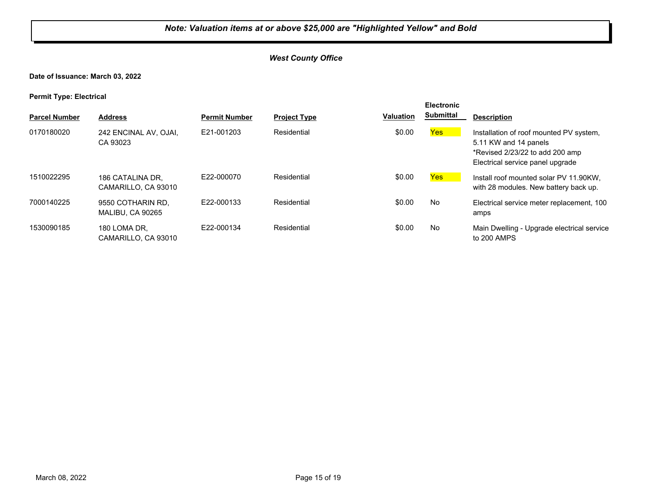## *West County Office*

#### **Date of Issuance: March 03, 2022**

**Permit Type: Electrical**

| . .                  |                                         |                      |                     |                  | <b>Electronic</b> |                                                                                                                                         |
|----------------------|-----------------------------------------|----------------------|---------------------|------------------|-------------------|-----------------------------------------------------------------------------------------------------------------------------------------|
| <b>Parcel Number</b> | <b>Address</b>                          | <b>Permit Number</b> | <b>Project Type</b> | <b>Valuation</b> | <b>Submittal</b>  | <b>Description</b>                                                                                                                      |
| 0170180020           | 242 ENCINAL AV, OJAI,<br>CA 93023       | E21-001203           | Residential         | \$0.00           | Yes               | Installation of roof mounted PV system,<br>5.11 KW and 14 panels<br>*Revised 2/23/22 to add 200 amp<br>Electrical service panel upgrade |
| 1510022295           | 186 CATALINA DR.<br>CAMARILLO, CA 93010 | E22-000070           | Residential         | \$0.00           | Yes               | Install roof mounted solar PV 11.90KW.<br>with 28 modules. New battery back up.                                                         |
| 7000140225           | 9550 COTHARIN RD.<br>MALIBU, CA 90265   | E22-000133           | Residential         | \$0.00           | No                | Electrical service meter replacement, 100<br>amps                                                                                       |
| 1530090185           | 180 LOMA DR.<br>CAMARILLO, CA 93010     | E22-000134           | Residential         | \$0.00           | No                | Main Dwelling - Upgrade electrical service<br>to 200 AMPS                                                                               |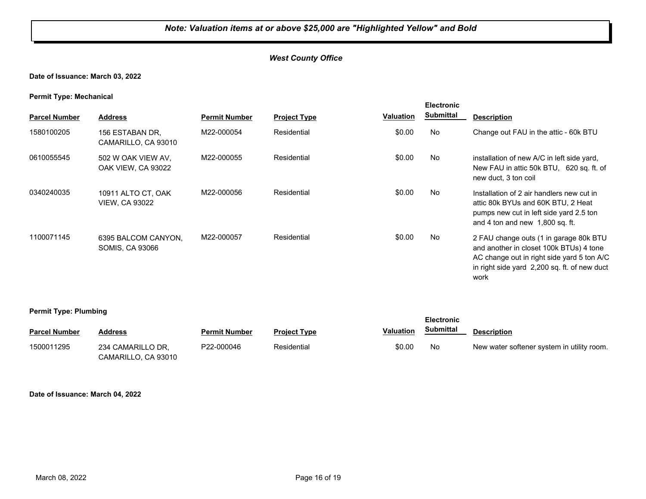#### **Date of Issuance: March 03, 2022**

#### **Permit Type: Mechanical**

| . .<br><b>Parcel Number</b> | <b>Address</b>                                | <b>Permit Number</b> | <b>Project Type</b> | <b>Valuation</b> | <b>Electronic</b><br><b>Submittal</b> | <b>Description</b>                                                                                                                                                                      |
|-----------------------------|-----------------------------------------------|----------------------|---------------------|------------------|---------------------------------------|-----------------------------------------------------------------------------------------------------------------------------------------------------------------------------------------|
| 1580100205                  | 156 ESTABAN DR,<br>CAMARILLO, CA 93010        | M22-000054           | Residential         | \$0.00           | No                                    | Change out FAU in the attic - 60k BTU                                                                                                                                                   |
| 0610055545                  | 502 W OAK VIEW AV.<br>OAK VIEW, CA 93022      | M22-000055           | Residential         | \$0.00           | No                                    | installation of new A/C in left side yard,<br>New FAU in attic 50k BTU, 620 sq. ft. of<br>new duct, 3 ton coil                                                                          |
| 0340240035                  | 10911 ALTO CT, OAK<br><b>VIEW, CA 93022</b>   | M22-000056           | Residential         | \$0.00           | No                                    | Installation of 2 air handlers new cut in<br>attic 80k BYUs and 60K BTU, 2 Heat<br>pumps new cut in left side yard 2.5 ton<br>and 4 ton and new 1,800 sq. ft.                           |
| 1100071145                  | 6395 BALCOM CANYON,<br><b>SOMIS, CA 93066</b> | M22-000057           | Residential         | \$0.00           | No                                    | 2 FAU change outs (1 in garage 80k BTU<br>and another in closet 100k BTUs) 4 tone<br>AC change out in right side yard 5 ton A/C<br>in right side yard 2,200 sq. ft. of new duct<br>work |

#### **Permit Type: Plumbing**

| . .                  |                                          |                      |                     |                  | <b>Electronic</b> |                                            |
|----------------------|------------------------------------------|----------------------|---------------------|------------------|-------------------|--------------------------------------------|
| <b>Parcel Number</b> | Address                                  | <b>Permit Number</b> | <b>Project Type</b> | <b>Valuation</b> | Submittal         | <b>Description</b>                         |
| 1500011295           | 234 CAMARILLO DR.<br>CAMARILLO, CA 93010 | P22-000046           | Residential         | \$0.00           | No.               | New water softener system in utility room. |

#### **Date of Issuance: March 04, 2022**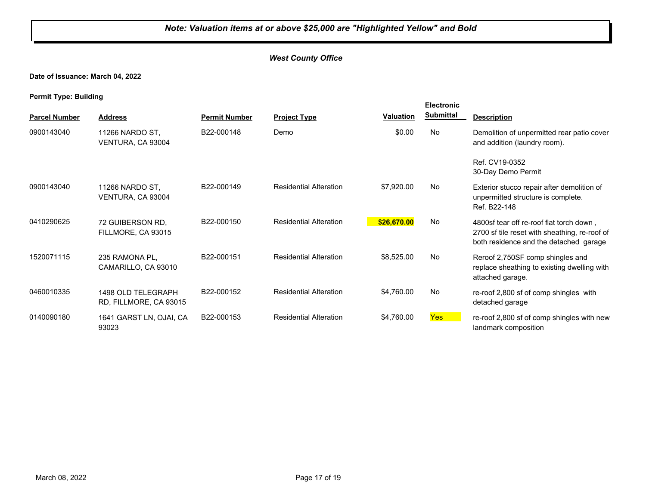## **Date of Issuance: March 04, 2022**

**Permit Type: Building**

|                      |                                              |                      |                               |             | <b>Electronic</b> |                                                                                                                                     |
|----------------------|----------------------------------------------|----------------------|-------------------------------|-------------|-------------------|-------------------------------------------------------------------------------------------------------------------------------------|
| <b>Parcel Number</b> | <b>Address</b>                               | <b>Permit Number</b> | <b>Project Type</b>           | Valuation   | <b>Submittal</b>  | <b>Description</b>                                                                                                                  |
| 0900143040           | 11266 NARDO ST.<br>VENTURA, CA 93004         | B22-000148           | Demo                          | \$0.00      | No                | Demolition of unpermitted rear patio cover<br>and addition (laundry room).                                                          |
|                      |                                              |                      |                               |             |                   | Ref. CV19-0352<br>30-Day Demo Permit                                                                                                |
| 0900143040           | 11266 NARDO ST.<br>VENTURA, CA 93004         | B22-000149           | <b>Residential Alteration</b> | \$7,920.00  | No                | Exterior stucco repair after demolition of<br>unpermitted structure is complete.<br>Ref. B22-148                                    |
| 0410290625           | 72 GUIBERSON RD.<br>FILLMORE, CA 93015       | B22-000150           | <b>Residential Alteration</b> | \$26,670.00 | No                | 4800sf tear off re-roof flat torch down,<br>2700 sf tile reset with sheathing, re-roof of<br>both residence and the detached garage |
| 1520071115           | 235 RAMONA PL,<br>CAMARILLO, CA 93010        | B22-000151           | <b>Residential Alteration</b> | \$8,525.00  | <b>No</b>         | Reroof 2,750SF comp shingles and<br>replace sheathing to existing dwelling with<br>attached garage.                                 |
| 0460010335           | 1498 OLD TELEGRAPH<br>RD, FILLMORE, CA 93015 | B22-000152           | <b>Residential Alteration</b> | \$4,760.00  | No                | re-roof 2,800 sf of comp shingles with<br>detached garage                                                                           |
| 0140090180           | 1641 GARST LN, OJAI, CA<br>93023             | B22-000153           | <b>Residential Alteration</b> | \$4,760.00  | Yes <sup>1</sup>  | re-roof 2,800 sf of comp shingles with new<br>landmark composition                                                                  |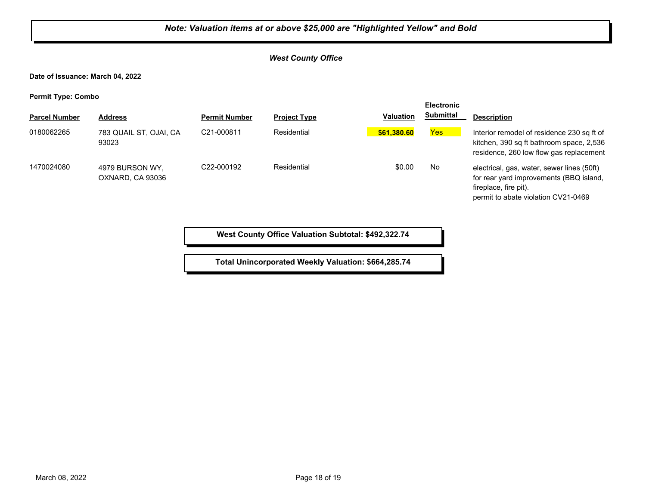## *West County Office*

**Date of Issuance: March 04, 2022**

**Permit Type: Combo**

| . .                  |                                     |                      |                     |                  | <b>Electronic</b> |                                                                                                                                                       |
|----------------------|-------------------------------------|----------------------|---------------------|------------------|-------------------|-------------------------------------------------------------------------------------------------------------------------------------------------------|
| <b>Parcel Number</b> | <b>Address</b>                      | <b>Permit Number</b> | <b>Project Type</b> | <b>Valuation</b> | <b>Submittal</b>  | <b>Description</b>                                                                                                                                    |
| 0180062265           | 783 QUAIL ST, OJAI, CA<br>93023     | C21-000811           | Residential         | \$61,380.60      | Yes               | Interior remodel of residence 230 sq ft of<br>kitchen, 390 sq ft bathroom space, 2,536<br>residence, 260 low flow gas replacement                     |
| 1470024080           | 4979 BURSON WY.<br>OXNARD, CA 93036 | C22-000192           | Residential         | \$0.00           | No                | electrical, gas, water, sewer lines (50ft)<br>for rear yard improvements (BBQ island,<br>fireplace, fire pit).<br>permit to abate violation CV21-0469 |

**West County Office Valuation Subtotal: \$492,322.74**

**Total Unincorporated Weekly Valuation: \$664,285.74**